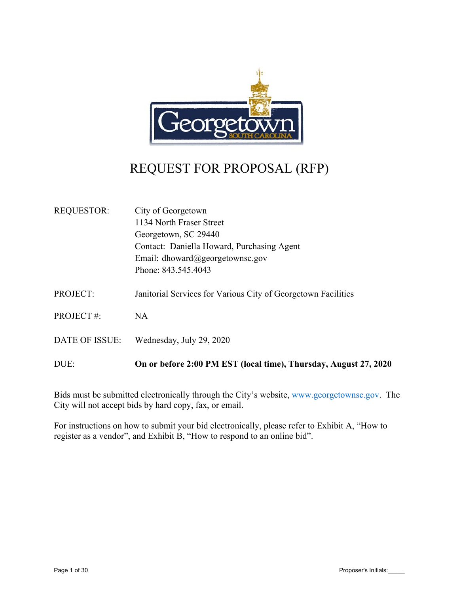

# REQUEST FOR PROPOSAL (RFP)

| <b>REQUESTOR:</b>     | City of Georgetown                                               |
|-----------------------|------------------------------------------------------------------|
|                       | 1134 North Fraser Street                                         |
|                       | Georgetown, SC 29440                                             |
|                       | Contact: Daniella Howard, Purchasing Agent                       |
|                       | Email: dhoward@georgetownsc.gov                                  |
|                       | Phone: 843.545.4043                                              |
| <b>PROJECT:</b>       | Janitorial Services for Various City of Georgetown Facilities    |
| <b>PROJECT#:</b>      | <b>NA</b>                                                        |
| <b>DATE OF ISSUE:</b> | Wednesday, July 29, 2020                                         |
| DUE:                  | On or before 2:00 PM EST (local time), Thursday, August 27, 2020 |

Bids must be submitted electronically through the City's website, www.georgetownsc.gov. The City will not accept bids by hard copy, fax, or email.

For instructions on how to submit your bid electronically, please refer to Exhibit A, "How to register as a vendor", and Exhibit B, "How to respond to an online bid".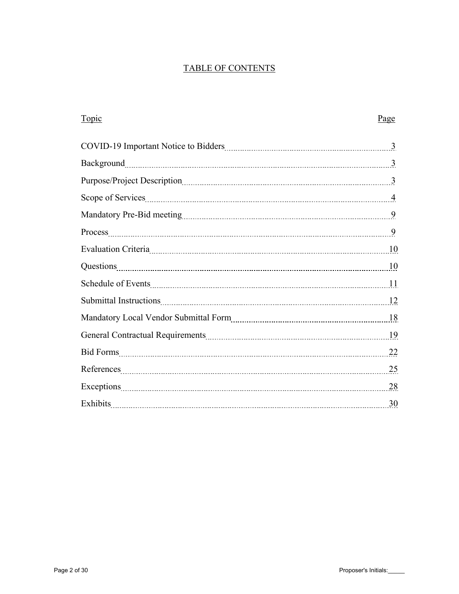## TABLE OF CONTENTS

| Topic                                                                                                                                                                                                                          | Page |
|--------------------------------------------------------------------------------------------------------------------------------------------------------------------------------------------------------------------------------|------|
| COVID-19 Important Notice to Bidders [11] [12] [2015] [2015] [2016] [2016] [2016] [2016] [2016] [2016] [2016] [                                                                                                                |      |
|                                                                                                                                                                                                                                |      |
|                                                                                                                                                                                                                                |      |
|                                                                                                                                                                                                                                |      |
|                                                                                                                                                                                                                                |      |
|                                                                                                                                                                                                                                |      |
|                                                                                                                                                                                                                                |      |
|                                                                                                                                                                                                                                |      |
|                                                                                                                                                                                                                                |      |
|                                                                                                                                                                                                                                |      |
| Mandatory Local Vendor Submittal Form [18] Mandatory Local Vendor Submittal Form [18] Mandatory Local Vendor Submittal Form [19] Management of the US of the US of the US of the US of the US of the US of the US of the US of |      |
|                                                                                                                                                                                                                                |      |
|                                                                                                                                                                                                                                |      |
|                                                                                                                                                                                                                                | 25   |
|                                                                                                                                                                                                                                |      |
|                                                                                                                                                                                                                                |      |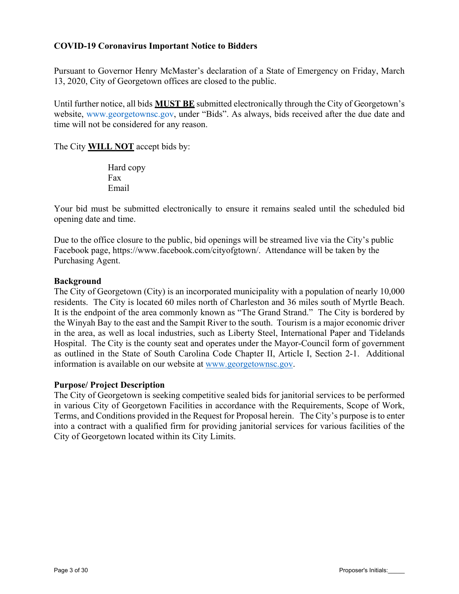## **COVID‐19 Coronavirus Important Notice to Bidders**

Pursuant to Governor Henry McMaster's declaration of a State of Emergency on Friday, March 13, 2020, City of Georgetown offices are closed to the public.

Until further notice, all bids **MUST BE** submitted electronically through the City of Georgetown's website, www.georgetownsc.gov, under "Bids". As always, bids received after the due date and time will not be considered for any reason.

The City **WILL NOT** accept bids by:

Hard copy Fax Email

Your bid must be submitted electronically to ensure it remains sealed until the scheduled bid opening date and time.

Due to the office closure to the public, bid openings will be streamed live via the City's public Facebook page, https://www.facebook.com/cityofgtown/. Attendance will be taken by the Purchasing Agent.

### **Background**

The City of Georgetown (City) is an incorporated municipality with a population of nearly 10,000 residents. The City is located 60 miles north of Charleston and 36 miles south of Myrtle Beach. It is the endpoint of the area commonly known as "The Grand Strand." The City is bordered by the Winyah Bay to the east and the Sampit River to the south. Tourism is a major economic driver in the area, as well as local industries, such as Liberty Steel, International Paper and Tidelands Hospital. The City is the county seat and operates under the Mayor-Council form of government as outlined in the State of South Carolina Code Chapter II, Article I, Section 2-1. Additional information is available on our website at www.georgetownsc.gov.

#### **Purpose/ Project Description**

The City of Georgetown is seeking competitive sealed bids for janitorial services to be performed in various City of Georgetown Facilities in accordance with the Requirements, Scope of Work, Terms, and Conditions provided in the Request for Proposal herein. The City's purpose is to enter into a contract with a qualified firm for providing janitorial services for various facilities of the City of Georgetown located within its City Limits.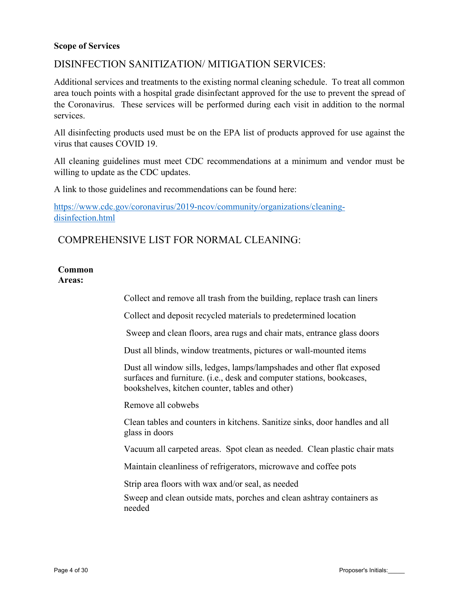#### **Scope of Services**

## DISINFECTION SANITIZATION/ MITIGATION SERVICES:

Additional services and treatments to the existing normal cleaning schedule. To treat all common area touch points with a hospital grade disinfectant approved for the use to prevent the spread of the Coronavirus. These services will be performed during each visit in addition to the normal services.

All disinfecting products used must be on the EPA list of products approved for use against the virus that causes COVID 19.

All cleaning guidelines must meet CDC recommendations at a minimum and vendor must be willing to update as the CDC updates.

A link to those guidelines and recommendations can be found here:

https://www.cdc.gov/coronavirus/2019-ncov/community/organizations/cleaningdisinfection.html

## COMPREHENSIVE LIST FOR NORMAL CLEANING:

## **Common**

**Areas:** 

Collect and remove all trash from the building, replace trash can liners

Collect and deposit recycled materials to predetermined location

Sweep and clean floors, area rugs and chair mats, entrance glass doors

Dust all blinds, window treatments, pictures or wall-mounted items

Dust all window sills, ledges, lamps/lampshades and other flat exposed surfaces and furniture. (i.e., desk and computer stations, bookcases, bookshelves, kitchen counter, tables and other)

Remove all cobwebs

Clean tables and counters in kitchens. Sanitize sinks, door handles and all glass in doors

Vacuum all carpeted areas. Spot clean as needed. Clean plastic chair mats

Maintain cleanliness of refrigerators, microwave and coffee pots

Strip area floors with wax and/or seal, as needed

Sweep and clean outside mats, porches and clean ashtray containers as needed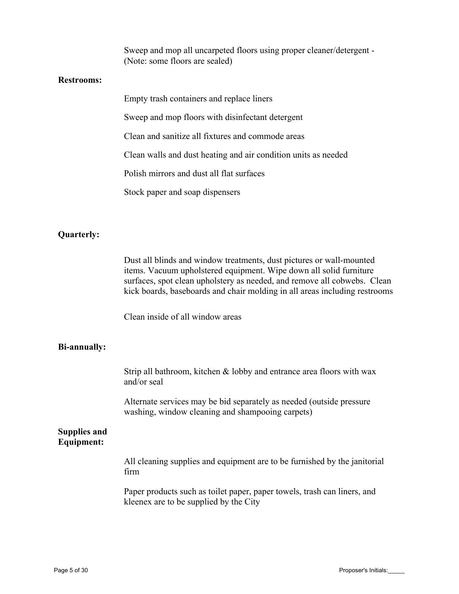Sweep and mop all uncarpeted floors using proper cleaner/detergent - (Note: some floors are sealed)

#### **Restrooms:**

| Empty trash containers and replace liners                      |
|----------------------------------------------------------------|
| Sweep and mop floors with disinfectant detergent               |
| Clean and sanitize all fixtures and commode areas              |
| Clean walls and dust heating and air condition units as needed |
| Polish mirrors and dust all flat surfaces                      |
| Stock paper and soap dispensers                                |

#### **Quarterly:**

Dust all blinds and window treatments, dust pictures or wall-mounted items. Vacuum upholstered equipment. Wipe down all solid furniture surfaces, spot clean upholstery as needed, and remove all cobwebs. Clean kick boards, baseboards and chair molding in all areas including restrooms

Clean inside of all window areas

#### **Bi-annually:**

Strip all bathroom, kitchen & lobby and entrance area floors with wax and/or seal

Alternate services may be bid separately as needed (outside pressure washing, window cleaning and shampooing carpets)

#### **Supplies and Equipment:**

All cleaning supplies and equipment are to be furnished by the janitorial firm

Paper products such as toilet paper, paper towels, trash can liners, and kleenex are to be supplied by the City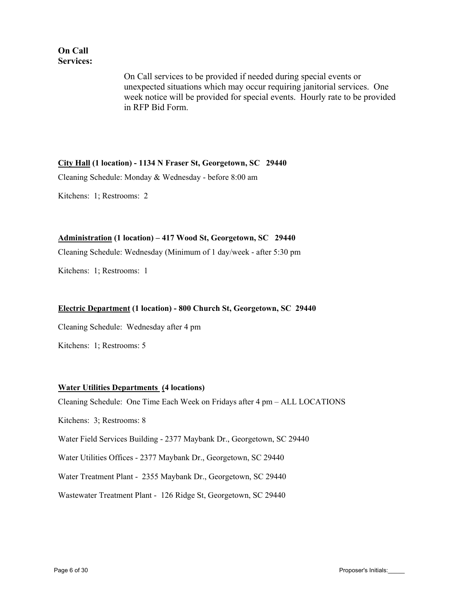## **On Call Services:**

On Call services to be provided if needed during special events or unexpected situations which may occur requiring janitorial services. One week notice will be provided for special events. Hourly rate to be provided in RFP Bid Form.

#### **City Hall (1 location) - 1134 N Fraser St, Georgetown, SC 29440**

Cleaning Schedule: Monday & Wednesday - before 8:00 am

Kitchens: 1; Restrooms: 2

#### **Administration (1 location) – 417 Wood St, Georgetown, SC 29440**

Cleaning Schedule: Wednesday (Minimum of 1 day/week - after 5:30 pm

Kitchens: 1; Restrooms: 1

#### **Electric Department (1 location) - 800 Church St, Georgetown, SC 29440**

Cleaning Schedule: Wednesday after 4 pm

Kitchens: 1; Restrooms: 5

#### **Water Utilities Departments (4 locations)**

Cleaning Schedule: One Time Each Week on Fridays after 4 pm – ALL LOCATIONS

Kitchens: 3; Restrooms: 8

Water Field Services Building - 2377 Maybank Dr., Georgetown, SC 29440

Water Utilities Offices - 2377 Maybank Dr., Georgetown, SC 29440

Water Treatment Plant - 2355 Maybank Dr., Georgetown, SC 29440

Wastewater Treatment Plant - 126 Ridge St, Georgetown, SC 29440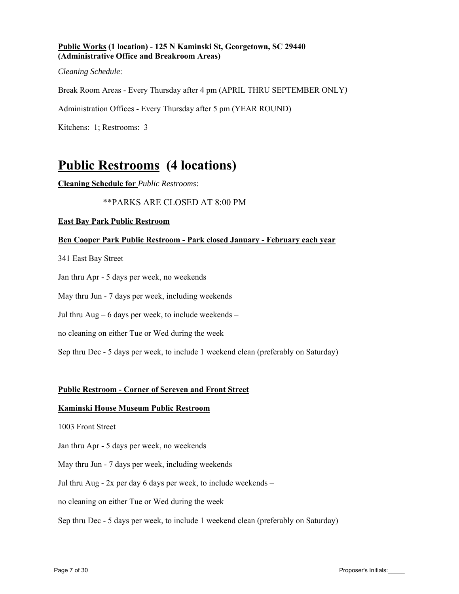#### **Public Works (1 location) - 125 N Kaminski St, Georgetown, SC 29440 (Administrative Office and Breakroom Areas)**

*Cleaning Schedule*:

Break Room Areas - Every Thursday after 4 pm (APRIL THRU SEPTEMBER ONLY*)* 

Administration Offices - Every Thursday after 5 pm (YEAR ROUND)

Kitchens: 1; Restrooms: 3

## **Public Restrooms (4 locations)**

**Cleaning Schedule for** *Public Restrooms*:

#### \*\*PARKS ARE CLOSED AT 8:00 PM

#### **East Bay Park Public Restroom**

#### **Ben Cooper Park Public Restroom - Park closed January - February each year**

341 East Bay Street

Jan thru Apr - 5 days per week, no weekends

May thru Jun - 7 days per week, including weekends

Jul thru  $Aug - 6$  days per week, to include weekends –

no cleaning on either Tue or Wed during the week

Sep thru Dec - 5 days per week, to include 1 weekend clean (preferably on Saturday)

#### **Public Restroom - Corner of Screven and Front Street**

#### **Kaminski House Museum Public Restroom**

1003 Front Street

Jan thru Apr - 5 days per week, no weekends

May thru Jun - 7 days per week, including weekends

Jul thru Aug -  $2x$  per day 6 days per week, to include weekends  $-$ 

no cleaning on either Tue or Wed during the week

Sep thru Dec - 5 days per week, to include 1 weekend clean (preferably on Saturday)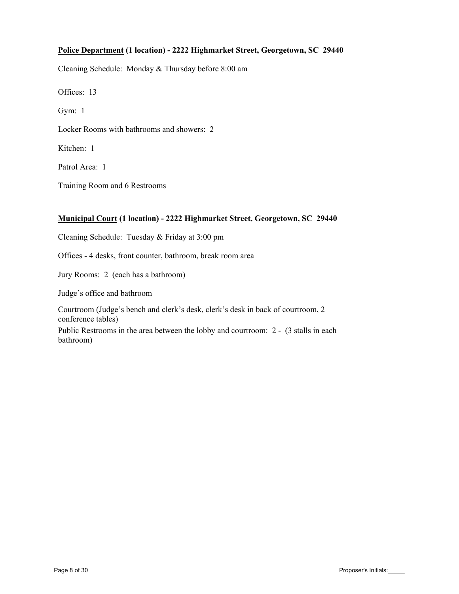#### **Police Department (1 location) - 2222 Highmarket Street, Georgetown, SC 29440**

Cleaning Schedule: Monday & Thursday before 8:00 am

Offices: 13

Gym: 1

Locker Rooms with bathrooms and showers: 2

Kitchen: 1

Patrol Area: 1

Training Room and 6 Restrooms

#### **Municipal Court (1 location) - 2222 Highmarket Street, Georgetown, SC 29440**

Cleaning Schedule: Tuesday & Friday at 3:00 pm

Offices - 4 desks, front counter, bathroom, break room area

Jury Rooms: 2 (each has a bathroom)

Judge's office and bathroom

Courtroom (Judge's bench and clerk's desk, clerk's desk in back of courtroom, 2 conference tables)

Public Restrooms in the area between the lobby and courtroom: 2 - (3 stalls in each bathroom)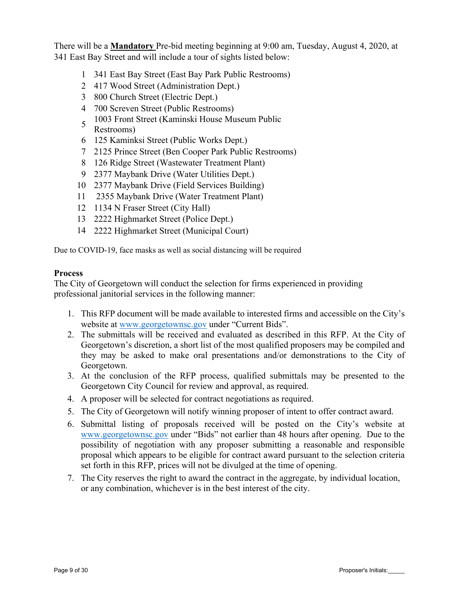There will be a **Mandatory** Pre-bid meeting beginning at 9:00 am, Tuesday, August 4, 2020, at 341 East Bay Street and will include a tour of sights listed below:

- 1 341 East Bay Street (East Bay Park Public Restrooms)
- 2 417 Wood Street (Administration Dept.)
- 3 800 Church Street (Electric Dept.)
- 4 700 Screven Street (Public Restrooms)
- 5 1003 Front Street (Kaminski House Museum Public Restrooms)
- 6 125 Kaminksi Street (Public Works Dept.)
- 7 2125 Prince Street (Ben Cooper Park Public Restrooms)
- 8 126 Ridge Street (Wastewater Treatment Plant)
- 9 2377 Maybank Drive (Water Utilities Dept.)
- 10 2377 Maybank Drive (Field Services Building)
- 11 2355 Maybank Drive (Water Treatment Plant)
- 12 1134 N Fraser Street (City Hall)
- 13 2222 Highmarket Street (Police Dept.)
- 14 2222 Highmarket Street (Municipal Court)

Due to COVID-19, face masks as well as social distancing will be required

### **Process**

The City of Georgetown will conduct the selection for firms experienced in providing professional janitorial services in the following manner:

- 1. This RFP document will be made available to interested firms and accessible on the City's website at www.georgetownsc.gov under "Current Bids".
- 2. The submittals will be received and evaluated as described in this RFP. At the City of Georgetown's discretion, a short list of the most qualified proposers may be compiled and they may be asked to make oral presentations and/or demonstrations to the City of Georgetown.
- 3. At the conclusion of the RFP process, qualified submittals may be presented to the Georgetown City Council for review and approval, as required.
- 4. A proposer will be selected for contract negotiations as required.
- 5. The City of Georgetown will notify winning proposer of intent to offer contract award.
- 6. Submittal listing of proposals received will be posted on the City's website at www.georgetownsc.gov under "Bids" not earlier than 48 hours after opening. Due to the possibility of negotiation with any proposer submitting a reasonable and responsible proposal which appears to be eligible for contract award pursuant to the selection criteria set forth in this RFP, prices will not be divulged at the time of opening.
- 7. The City reserves the right to award the contract in the aggregate, by individual location, or any combination, whichever is in the best interest of the city.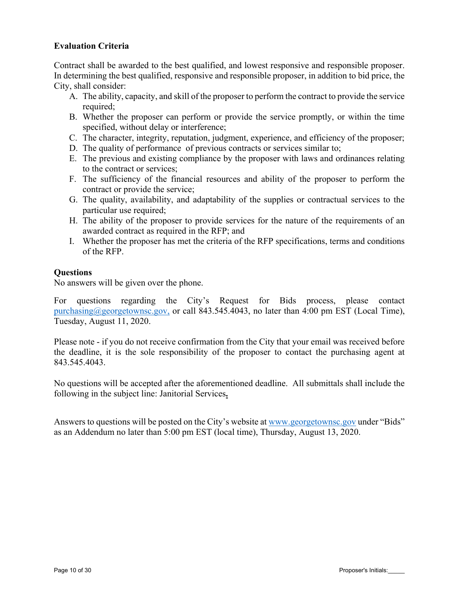## **Evaluation Criteria**

Contract shall be awarded to the best qualified, and lowest responsive and responsible proposer. In determining the best qualified, responsive and responsible proposer, in addition to bid price, the City, shall consider:

- A. The ability, capacity, and skill of the proposer to perform the contract to provide the service required;
- B. Whether the proposer can perform or provide the service promptly, or within the time specified, without delay or interference;
- C. The character, integrity, reputation, judgment, experience, and efficiency of the proposer;
- D. The quality of performance of previous contracts or services similar to;
- E. The previous and existing compliance by the proposer with laws and ordinances relating to the contract or services;
- F. The sufficiency of the financial resources and ability of the proposer to perform the contract or provide the service;
- G. The quality, availability, and adaptability of the supplies or contractual services to the particular use required;
- H. The ability of the proposer to provide services for the nature of the requirements of an awarded contract as required in the RFP; and
- I. Whether the proposer has met the criteria of the RFP specifications, terms and conditions of the RFP.

#### **Questions**

No answers will be given over the phone.

For questions regarding the City's Request for Bids process, please contact purchasing@georgetownsc.gov, or call 843.545.4043, no later than 4:00 pm EST (Local Time), Tuesday, August 11, 2020.

Please note - if you do not receive confirmation from the City that your email was received before the deadline, it is the sole responsibility of the proposer to contact the purchasing agent at 843.545.4043.

No questions will be accepted after the aforementioned deadline. All submittals shall include the following in the subject line: Janitorial Services**.**

Answers to questions will be posted on the City's website at www.georgetownsc.gov under "Bids" as an Addendum no later than 5:00 pm EST (local time), Thursday, August 13, 2020.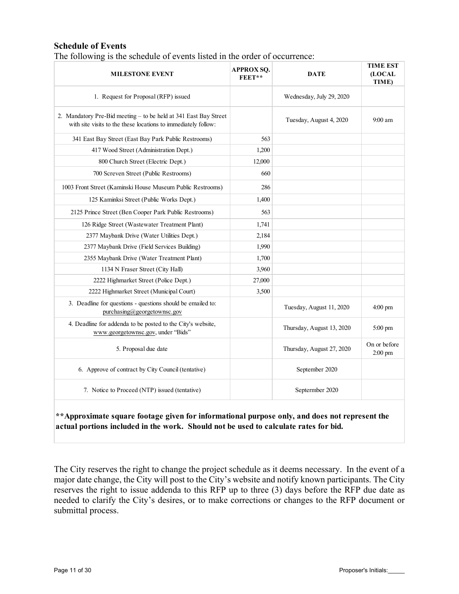### **Schedule of Events**

| The following is the schedule of events listed in the order of occurrence: |  |  |  |  |  |  |  |  |
|----------------------------------------------------------------------------|--|--|--|--|--|--|--|--|
|----------------------------------------------------------------------------|--|--|--|--|--|--|--|--|

| <b>MILESTONE EVENT</b>                                                                                                             | <b>APPROX SQ.</b><br>FEET** | <b>DATE</b>               | <b>TIME EST</b><br>(LOCAL<br>TIME) |
|------------------------------------------------------------------------------------------------------------------------------------|-----------------------------|---------------------------|------------------------------------|
| 1. Request for Proposal (RFP) issued                                                                                               |                             | Wednesday, July 29, 2020  |                                    |
| 2. Mandatory Pre-Bid meeting - to be held at 341 East Bay Street<br>with site visits to the these locations to immediately follow: |                             | Tuesday, August 4, 2020   | $9:00 \text{ am}$                  |
| 341 East Bay Street (East Bay Park Public Restrooms)                                                                               | 563                         |                           |                                    |
| 417 Wood Street (Administration Dept.)                                                                                             | 1,200                       |                           |                                    |
| 800 Church Street (Electric Dept.)                                                                                                 | 12,000                      |                           |                                    |
| 700 Screven Street (Public Restrooms)                                                                                              | 660                         |                           |                                    |
| 1003 Front Street (Kaminski House Museum Public Restrooms)                                                                         | 286                         |                           |                                    |
| 125 Kaminksi Street (Public Works Dept.)                                                                                           | 1,400                       |                           |                                    |
| 2125 Prince Street (Ben Cooper Park Public Restrooms)                                                                              | 563                         |                           |                                    |
| 126 Ridge Street (Wastewater Treatment Plant)                                                                                      | 1,741                       |                           |                                    |
| 2377 Maybank Drive (Water Utilities Dept.)                                                                                         | 2,184                       |                           |                                    |
| 2377 Maybank Drive (Field Services Building)                                                                                       | 1,990                       |                           |                                    |
| 2355 Maybank Drive (Water Treatment Plant)                                                                                         | 1,700                       |                           |                                    |
| 1134 N Fraser Street (City Hall)                                                                                                   | 3,960                       |                           |                                    |
| 2222 Highmarket Street (Police Dept.)                                                                                              | 27,000                      |                           |                                    |
| 2222 Highmarket Street (Municipal Court)                                                                                           | 3,500                       |                           |                                    |
| 3. Deadline for questions - questions should be emailed to:<br>purchasing@georgetownsc.gov                                         |                             | Tuesday, August 11, 2020  | $4:00$ pm                          |
| 4. Deadline for addenda to be posted to the City's website,<br>www.georgetownsc.gov, under "Bids"                                  |                             | Thursday, August 13, 2020 | $5:00$ pm                          |
| 5. Proposal due date                                                                                                               |                             | Thursday, August 27, 2020 | On or before<br>2:00 pm            |
| 6. Approve of contract by City Council (tentative)                                                                                 |                             | September 2020            |                                    |
| 7. Notice to Proceed (NTP) issued (tentative)                                                                                      |                             | Septermber 2020           |                                    |

### **\*\*Approximate square footage given for informational purpose only, and does not represent the actual portions included in the work. Should not be used to calculate rates for bid.**

The City reserves the right to change the project schedule as it deems necessary. In the event of a major date change, the City will post to the City's website and notify known participants. The City reserves the right to issue addenda to this RFP up to three (3) days before the RFP due date as needed to clarify the City's desires, or to make corrections or changes to the RFP document or submittal process.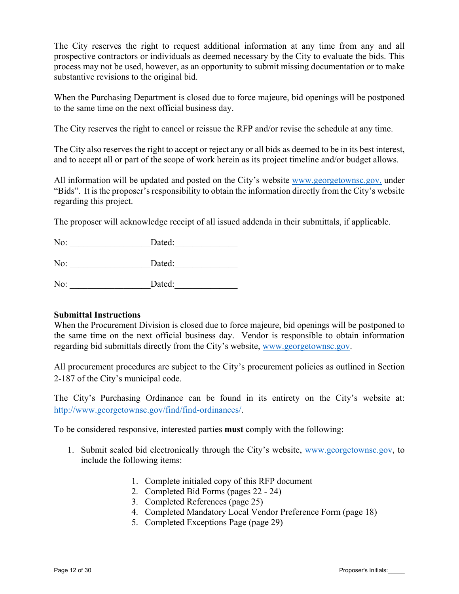The City reserves the right to request additional information at any time from any and all prospective contractors or individuals as deemed necessary by the City to evaluate the bids. This process may not be used, however, as an opportunity to submit missing documentation or to make substantive revisions to the original bid.

When the Purchasing Department is closed due to force majeure, bid openings will be postponed to the same time on the next official business day.

The City reserves the right to cancel or reissue the RFP and/or revise the schedule at any time.

The City also reserves the right to accept or reject any or all bids as deemed to be in its best interest, and to accept all or part of the scope of work herein as its project timeline and/or budget allows.

All information will be updated and posted on the City's website www.georgetownsc.gov, under "Bids". It is the proposer's responsibility to obtain the information directly from the City's website regarding this project.

The proposer will acknowledge receipt of all issued addenda in their submittals, if applicable.

| No: | Dated: |  |
|-----|--------|--|
| No: | Dated: |  |
| No: | Dated: |  |

#### **Submittal Instructions**

When the Procurement Division is closed due to force majeure, bid openings will be postponed to the same time on the next official business day. Vendor is responsible to obtain information regarding bid submittals directly from the City's website, www.georgetownsc.gov.

All procurement procedures are subject to the City's procurement policies as outlined in Section 2-187 of the City's municipal code.

The City's Purchasing Ordinance can be found in its entirety on the City's website at: http://www.georgetownsc.gov/find/find-ordinances/.

To be considered responsive, interested parties **must** comply with the following:

- 1. Submit sealed bid electronically through the City's website, www.georgetownsc.gov, to include the following items:
	- 1. Complete initialed copy of this RFP document
	- 2. Completed Bid Forms (pages 22 24)
	- 3. Completed References (page 25)
	- 4. Completed Mandatory Local Vendor Preference Form (page 18)
	- 5. Completed Exceptions Page (page 29)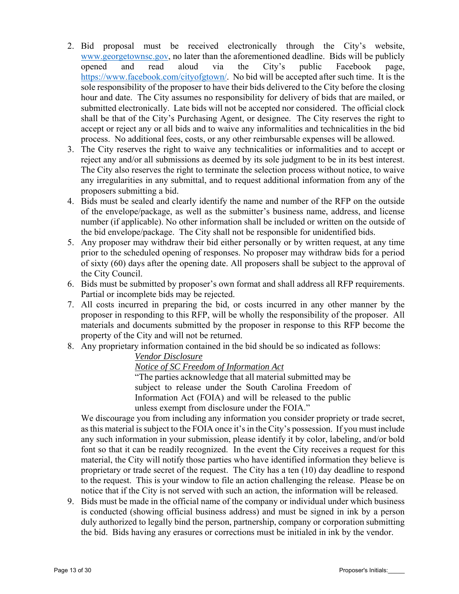- 2. Bid proposal must be received electronically through the City's website, www.georgetownsc.gov, no later than the aforementioned deadline. Bids will be publicly opened and read aloud via the City's public Facebook page, https://www.facebook.com/cityofgtown/. No bid will be accepted after such time. It is the sole responsibility of the proposer to have their bids delivered to the City before the closing hour and date. The City assumes no responsibility for delivery of bids that are mailed, or submitted electronically. Late bids will not be accepted nor considered. The official clock shall be that of the City's Purchasing Agent, or designee. The City reserves the right to accept or reject any or all bids and to waive any informalities and technicalities in the bid process. No additional fees, costs, or any other reimbursable expenses will be allowed.
- 3. The City reserves the right to waive any technicalities or informalities and to accept or reject any and/or all submissions as deemed by its sole judgment to be in its best interest. The City also reserves the right to terminate the selection process without notice, to waive any irregularities in any submittal, and to request additional information from any of the proposers submitting a bid.
- 4. Bids must be sealed and clearly identify the name and number of the RFP on the outside of the envelope/package, as well as the submitter's business name, address, and license number (if applicable). No other information shall be included or written on the outside of the bid envelope/package. The City shall not be responsible for unidentified bids.
- 5. Any proposer may withdraw their bid either personally or by written request, at any time prior to the scheduled opening of responses. No proposer may withdraw bids for a period of sixty (60) days after the opening date. All proposers shall be subject to the approval of the City Council.
- 6. Bids must be submitted by proposer's own format and shall address all RFP requirements. Partial or incomplete bids may be rejected.
- 7. All costs incurred in preparing the bid, or costs incurred in any other manner by the proposer in responding to this RFP, will be wholly the responsibility of the proposer. All materials and documents submitted by the proposer in response to this RFP become the property of the City and will not be returned.
- 8. Any proprietary information contained in the bid should be so indicated as follows:

## *Vendor Disclosure*

*Notice of SC Freedom of Information Act* 

"The parties acknowledge that all material submitted may be subject to release under the South Carolina Freedom of Information Act (FOIA) and will be released to the public unless exempt from disclosure under the FOIA."

We discourage you from including any information you consider propriety or trade secret, as this material is subject to the FOIA once it's in the City's possession. If you must include any such information in your submission, please identify it by color, labeling, and/or bold font so that it can be readily recognized. In the event the City receives a request for this material, the City will notify those parties who have identified information they believe is proprietary or trade secret of the request. The City has a ten (10) day deadline to respond to the request. This is your window to file an action challenging the release. Please be on notice that if the City is not served with such an action, the information will be released.

9. Bids must be made in the official name of the company or individual under which business is conducted (showing official business address) and must be signed in ink by a person duly authorized to legally bind the person, partnership, company or corporation submitting the bid. Bids having any erasures or corrections must be initialed in ink by the vendor.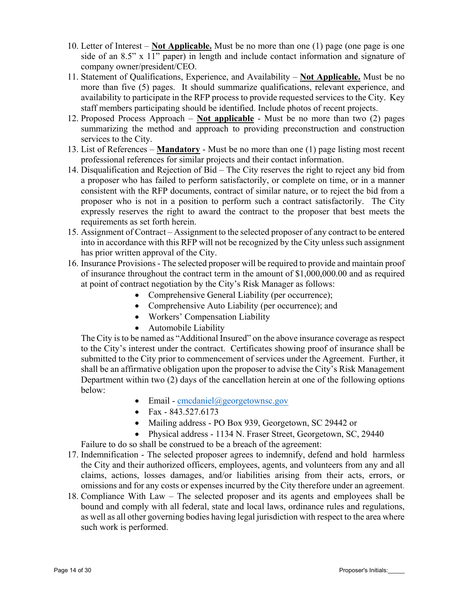- 10. Letter of Interest **Not Applicable.** Must be no more than one (1) page (one page is one side of an 8.5" x 11" paper) in length and include contact information and signature of company owner/president/CEO.
- 11. Statement of Qualifications, Experience, and Availability **Not Applicable.** Must be no more than five (5) pages. It should summarize qualifications, relevant experience, and availability to participate in the RFP process to provide requested services to the City. Key staff members participating should be identified. Include photos of recent projects.
- 12. Proposed Process Approach **Not applicable** Must be no more than two (2) pages summarizing the method and approach to providing preconstruction and construction services to the City.
- 13. List of References **Mandatory** Must be no more than one (1) page listing most recent professional references for similar projects and their contact information.
- 14. Disqualification and Rejection of Bid The City reserves the right to reject any bid from a proposer who has failed to perform satisfactorily, or complete on time, or in a manner consistent with the RFP documents, contract of similar nature, or to reject the bid from a proposer who is not in a position to perform such a contract satisfactorily. The City expressly reserves the right to award the contract to the proposer that best meets the requirements as set forth herein.
- 15. Assignment of Contract Assignment to the selected proposer of any contract to be entered into in accordance with this RFP will not be recognized by the City unless such assignment has prior written approval of the City.
- 16. Insurance Provisions The selected proposer will be required to provide and maintain proof of insurance throughout the contract term in the amount of \$1,000,000.00 and as required at point of contract negotiation by the City's Risk Manager as follows:
	- Comprehensive General Liability (per occurrence);
	- Comprehensive Auto Liability (per occurrence); and
	- Workers' Compensation Liability
	- Automobile Liability

The City is to be named as "Additional Insured" on the above insurance coverage as respect to the City's interest under the contract. Certificates showing proof of insurance shall be submitted to the City prior to commencement of services under the Agreement. Further, it shall be an affirmative obligation upon the proposer to advise the City's Risk Management Department within two (2) days of the cancellation herein at one of the following options below:

- $\bullet$  Email cmcdaniel@georgetownsc.gov
- Fax  $843.527.6173$
- Mailing address PO Box 939, Georgetown, SC 29442 or
- Physical address 1134 N. Fraser Street, Georgetown, SC, 29440

Failure to do so shall be construed to be a breach of the agreement:

- 17. Indemnification The selected proposer agrees to indemnify, defend and hold harmless the City and their authorized officers, employees, agents, and volunteers from any and all claims, actions, losses damages, and/or liabilities arising from their acts, errors, or omissions and for any costs or expenses incurred by the City therefore under an agreement.
- 18. Compliance With Law The selected proposer and its agents and employees shall be bound and comply with all federal, state and local laws, ordinance rules and regulations, as well as all other governing bodies having legal jurisdiction with respect to the area where such work is performed.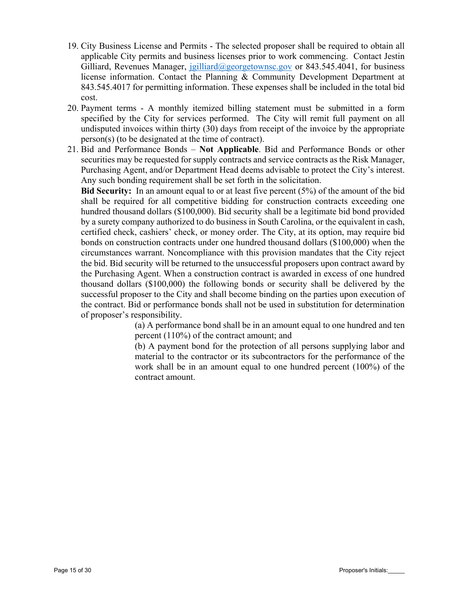- 19. City Business License and Permits The selected proposer shall be required to obtain all applicable City permits and business licenses prior to work commencing. Contact Jestin Gilliard, Revenues Manager, jgilliard@georgetownsc.gov or 843.545.4041, for business license information. Contact the Planning & Community Development Department at 843.545.4017 for permitting information. These expenses shall be included in the total bid cost.
- 20. Payment terms A monthly itemized billing statement must be submitted in a form specified by the City for services performed. The City will remit full payment on all undisputed invoices within thirty (30) days from receipt of the invoice by the appropriate person(s) (to be designated at the time of contract).
- 21. Bid and Performance Bonds **Not Applicable**. Bid and Performance Bonds or other securities may be requested for supply contracts and service contracts as the Risk Manager, Purchasing Agent, and/or Department Head deems advisable to protect the City's interest. Any such bonding requirement shall be set forth in the solicitation.

**Bid Security:** In an amount equal to or at least five percent (5%) of the amount of the bid shall be required for all competitive bidding for construction contracts exceeding one hundred thousand dollars (\$100,000). Bid security shall be a legitimate bid bond provided by a surety company authorized to do business in South Carolina, or the equivalent in cash, certified check, cashiers' check, or money order. The City, at its option, may require bid bonds on construction contracts under one hundred thousand dollars (\$100,000) when the circumstances warrant. Noncompliance with this provision mandates that the City reject the bid. Bid security will be returned to the unsuccessful proposers upon contract award by the Purchasing Agent. When a construction contract is awarded in excess of one hundred thousand dollars (\$100,000) the following bonds or security shall be delivered by the successful proposer to the City and shall become binding on the parties upon execution of the contract. Bid or performance bonds shall not be used in substitution for determination of proposer's responsibility.

(a) A performance bond shall be in an amount equal to one hundred and ten percent (110%) of the contract amount; and

(b) A payment bond for the protection of all persons supplying labor and material to the contractor or its subcontractors for the performance of the work shall be in an amount equal to one hundred percent (100%) of the contract amount.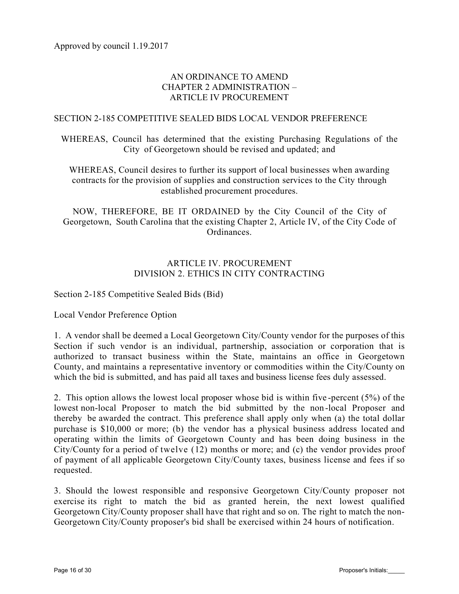## AN ORDINANCE TO AMEND CHAPTER 2 ADMINISTRATION – ARTICLE IV PROCUREMENT

#### SECTION 2-185 COMPETITIVE SEALED BIDS LOCAL VENDOR PREFERENCE

WHEREAS, Council has determined that the existing Purchasing Regulations of the City of Georgetown should be revised and updated; and

WHEREAS, Council desires to further its support of local businesses when awarding contracts for the provision of supplies and construction services to the City through established procurement procedures.

NOW, THEREFORE, BE IT ORDAINED by the City Council of the City of Georgetown, South Carolina that the existing Chapter 2, Article IV, of the City Code of Ordinances.

## ARTICLE IV. PROCUREMENT DIVISION 2. ETHICS IN CITY CONTRACTING

## Section 2-185 Competitive Sealed Bids (Bid)

Local Vendor Preference Option

1. A vendor shall be deemed a Local Georgetown City/County vendor for the purposes of this Section if such vendor is an individual, partnership, association or corporation that is authorized to transact business within the State, maintains an office in Georgetown County, and maintains a representative inventory or commodities within the City/County on which the bid is submitted, and has paid all taxes and business license fees duly assessed.

2. This option allows the lowest local proposer whose bid is within five -percent (5%) of the lowest non-local Proposer to match the bid submitted by the non -local Proposer and thereby be awarded the contract. This preference shall apply only when (a) the total dollar purchase is \$10,000 or more; (b) the vendor has a physical business address located and operating within the limits of Georgetown County and has been doing business in the City/County for a period of twelve (12) months or more; and (c) the vendor provides proof of payment of all applicable Georgetown City/County taxes, business license and fees if so requested.

3. Should the lowest responsible and responsive Georgetown City/County proposer not exercise its right to match the bid as granted herein, the next lowest qualified Georgetown City/County proposer shall have that right and so on. The right to match the non-Georgetown City/County proposer's bid shall be exercised within 24 hours of notification.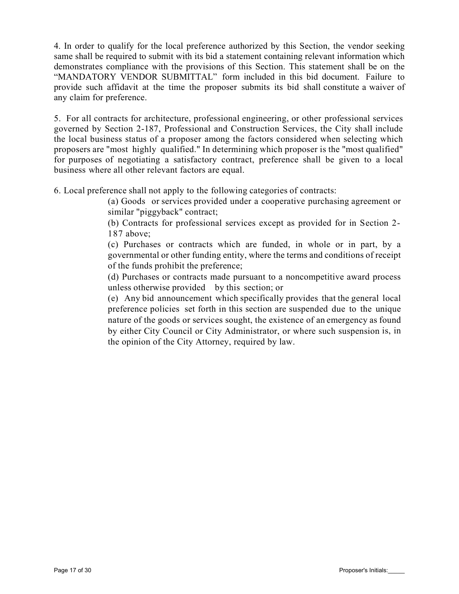4. In order to qualify for the local preference authorized by this Section, the vendor seeking same shall be required to submit with its bid a statement containing relevant information which demonstrates compliance with the provisions of this Section. This statement shall be on the "MANDATORY VENDOR SUBMITTAL" form included in this bid document. Failure to provide such affidavit at the time the proposer submits its bid shall constitute a waiver of any claim for preference.

5. For all contracts for architecture, professional engineering, or other professional services governed by Section 2-187, Professional and Construction Services, the City shall include the local business status of a proposer among the factors considered when selecting which proposers are "most highly qualified." In determining which proposer is the "most qualified" for purposes of negotiating a satisfactory contract, preference shall be given to a local business where all other relevant factors are equal.

6. Local preference shall not apply to the following categories of contracts:

(a) Goods or services provided under a cooperative purchasing agreement or similar "piggyback" contract;

(b) Contracts for professional services except as provided for in Section 2- 187 above;

(c) Purchases or contracts which are funded, in whole or in part, by a governmental or other funding entity, where the terms and conditions of receipt of the funds prohibit the preference;

(d) Purchases or contracts made pursuant to a noncompetitive award process unless otherwise provided by this section; or

(e) Any bid announcement which specifically provides that the general local preference policies set forth in this section are suspended due to the unique nature of the goods or services sought, the existence of an emergency as found by either City Council or City Administrator, or where such suspension is, in the opinion of the City Attorney, required by law.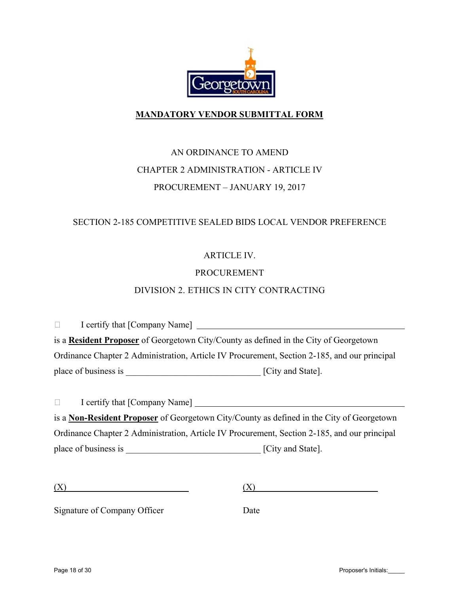

## **MANDATORY VENDOR SUBMITTAL FORM**

## AN ORDINANCE TO AMEND CHAPTER 2 ADMINISTRATION - ARTICLE IV PROCUREMENT – JANUARY 19, 2017

## SECTION 2-185 COMPETITIVE SEALED BIDS LOCAL VENDOR PREFERENCE

## ARTICLE IV.

## PROCUREMENT

## DIVISION 2. ETHICS IN CITY CONTRACTING

I certify that [Company Name] is a **Resident Proposer** of Georgetown City/County as defined in the City of Georgetown Ordinance Chapter 2 Administration, Article IV Procurement, Section 2-185, and our principal place of business is <br>  $[City and State].$ 

I certify that [Company Name] is a **Non-Resident Proposer** of Georgetown City/County as defined in the City of Georgetown Ordinance Chapter 2 Administration, Article IV Procurement, Section 2-185, and our principal place of business is \_\_\_\_\_\_\_\_\_\_\_\_\_\_\_\_\_\_\_\_\_\_\_\_\_\_\_\_\_\_ [City and State].

| (X) | $\overline{\phantom{a}}$<br>- |
|-----|-------------------------------|
| . . |                               |

Signature of Company Officer Date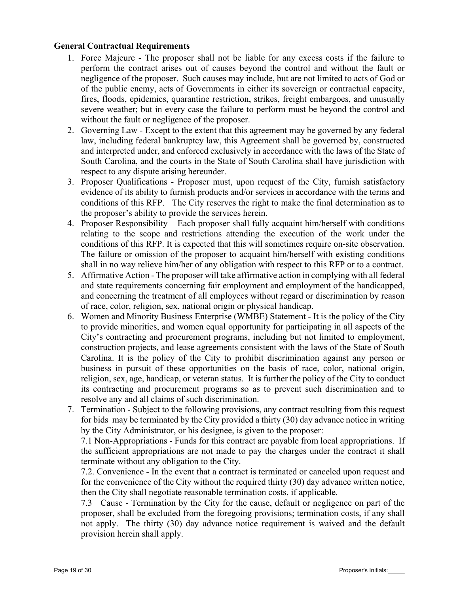## **General Contractual Requirements**

- 1. Force Majeure The proposer shall not be liable for any excess costs if the failure to perform the contract arises out of causes beyond the control and without the fault or negligence of the proposer. Such causes may include, but are not limited to acts of God or of the public enemy, acts of Governments in either its sovereign or contractual capacity, fires, floods, epidemics, quarantine restriction, strikes, freight embargoes, and unusually severe weather; but in every case the failure to perform must be beyond the control and without the fault or negligence of the proposer.
- 2. Governing Law Except to the extent that this agreement may be governed by any federal law, including federal bankruptcy law, this Agreement shall be governed by, constructed and interpreted under, and enforced exclusively in accordance with the laws of the State of South Carolina, and the courts in the State of South Carolina shall have jurisdiction with respect to any dispute arising hereunder.
- 3. Proposer Qualifications Proposer must, upon request of the City, furnish satisfactory evidence of its ability to furnish products and/or services in accordance with the terms and conditions of this RFP. The City reserves the right to make the final determination as to the proposer's ability to provide the services herein.
- 4. Proposer Responsibility Each proposer shall fully acquaint him/herself with conditions relating to the scope and restrictions attending the execution of the work under the conditions of this RFP. It is expected that this will sometimes require on-site observation. The failure or omission of the proposer to acquaint him/herself with existing conditions shall in no way relieve him/her of any obligation with respect to this RFP or to a contract.
- 5. Affirmative Action The proposer will take affirmative action in complying with all federal and state requirements concerning fair employment and employment of the handicapped, and concerning the treatment of all employees without regard or discrimination by reason of race, color, religion, sex, national origin or physical handicap.
- 6. Women and Minority Business Enterprise (WMBE) Statement It is the policy of the City to provide minorities, and women equal opportunity for participating in all aspects of the City's contracting and procurement programs, including but not limited to employment, construction projects, and lease agreements consistent with the laws of the State of South Carolina. It is the policy of the City to prohibit discrimination against any person or business in pursuit of these opportunities on the basis of race, color, national origin, religion, sex, age, handicap, or veteran status. It is further the policy of the City to conduct its contracting and procurement programs so as to prevent such discrimination and to resolve any and all claims of such discrimination.
- 7. Termination Subject to the following provisions, any contract resulting from this request for bids may be terminated by the City provided a thirty (30) day advance notice in writing by the City Administrator, or his designee, is given to the proposer:

7.1 Non-Appropriations - Funds for this contract are payable from local appropriations. If the sufficient appropriations are not made to pay the charges under the contract it shall terminate without any obligation to the City.

7.2. Convenience - In the event that a contract is terminated or canceled upon request and for the convenience of the City without the required thirty (30) day advance written notice, then the City shall negotiate reasonable termination costs, if applicable.

7.3 Cause - Termination by the City for the cause, default or negligence on part of the proposer, shall be excluded from the foregoing provisions; termination costs, if any shall not apply. The thirty (30) day advance notice requirement is waived and the default provision herein shall apply.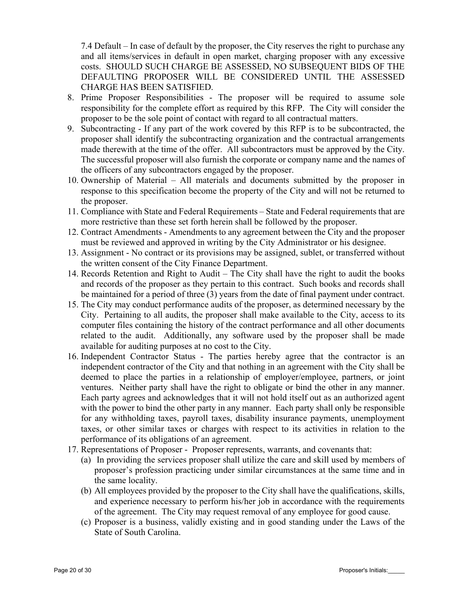7.4 Default – In case of default by the proposer, the City reserves the right to purchase any and all items/services in default in open market, charging proposer with any excessive costs. SHOULD SUCH CHARGE BE ASSESSED, NO SUBSEQUENT BIDS OF THE DEFAULTING PROPOSER WILL BE CONSIDERED UNTIL THE ASSESSED CHARGE HAS BEEN SATISFIED.

- 8. Prime Proposer Responsibilities The proposer will be required to assume sole responsibility for the complete effort as required by this RFP. The City will consider the proposer to be the sole point of contact with regard to all contractual matters.
- 9. Subcontracting If any part of the work covered by this RFP is to be subcontracted, the proposer shall identify the subcontracting organization and the contractual arrangements made therewith at the time of the offer. All subcontractors must be approved by the City. The successful proposer will also furnish the corporate or company name and the names of the officers of any subcontractors engaged by the proposer.
- 10. Ownership of Material All materials and documents submitted by the proposer in response to this specification become the property of the City and will not be returned to the proposer.
- 11. Compliance with State and Federal Requirements State and Federal requirements that are more restrictive than these set forth herein shall be followed by the proposer.
- 12. Contract Amendments Amendments to any agreement between the City and the proposer must be reviewed and approved in writing by the City Administrator or his designee.
- 13. Assignment No contract or its provisions may be assigned, sublet, or transferred without the written consent of the City Finance Department.
- 14. Records Retention and Right to Audit The City shall have the right to audit the books and records of the proposer as they pertain to this contract. Such books and records shall be maintained for a period of three (3) years from the date of final payment under contract.
- 15. The City may conduct performance audits of the proposer, as determined necessary by the City. Pertaining to all audits, the proposer shall make available to the City, access to its computer files containing the history of the contract performance and all other documents related to the audit. Additionally, any software used by the proposer shall be made available for auditing purposes at no cost to the City.
- 16. Independent Contractor Status The parties hereby agree that the contractor is an independent contractor of the City and that nothing in an agreement with the City shall be deemed to place the parties in a relationship of employer/employee, partners, or joint ventures. Neither party shall have the right to obligate or bind the other in any manner. Each party agrees and acknowledges that it will not hold itself out as an authorized agent with the power to bind the other party in any manner. Each party shall only be responsible for any withholding taxes, payroll taxes, disability insurance payments, unemployment taxes, or other similar taxes or charges with respect to its activities in relation to the performance of its obligations of an agreement.
- 17. Representations of Proposer Proposer represents, warrants, and covenants that:
	- (a) In providing the services proposer shall utilize the care and skill used by members of proposer's profession practicing under similar circumstances at the same time and in the same locality.
	- (b) All employees provided by the proposer to the City shall have the qualifications, skills, and experience necessary to perform his/her job in accordance with the requirements of the agreement. The City may request removal of any employee for good cause.
	- (c) Proposer is a business, validly existing and in good standing under the Laws of the State of South Carolina.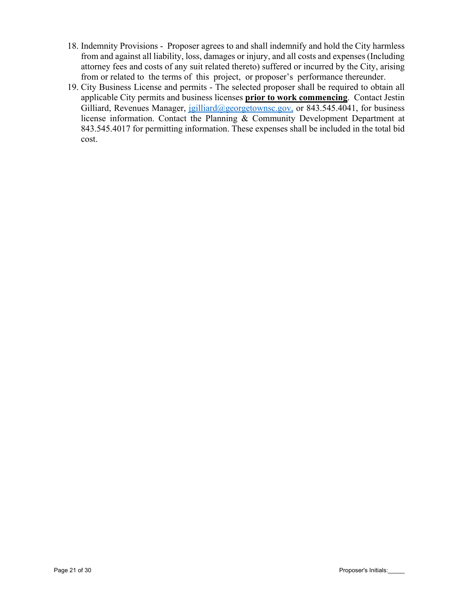- 18. Indemnity Provisions Proposer agrees to and shall indemnify and hold the City harmless from and against all liability, loss, damages or injury, and all costs and expenses (Including attorney fees and costs of any suit related thereto) suffered or incurred by the City, arising from or related to the terms of this project, or proposer's performance thereunder.
- 19. City Business License and permits The selected proposer shall be required to obtain all applicable City permits and business licenses **prior to work commencing**. Contact Jestin Gilliard, Revenues Manager, jgilliard@georgetownsc.gov, or 843.545.4041, for business license information. Contact the Planning & Community Development Department at 843.545.4017 for permitting information. These expenses shall be included in the total bid cost.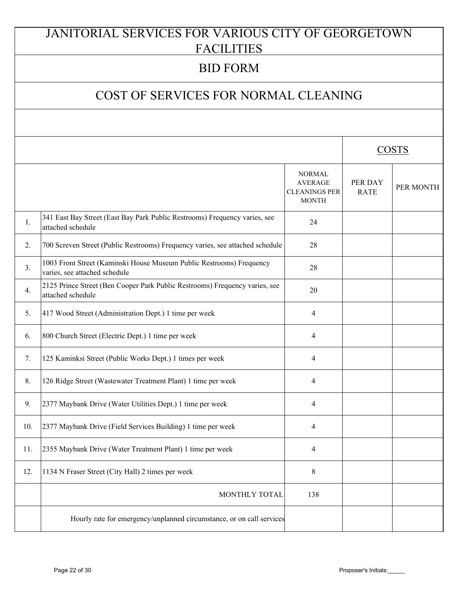# JANITORIAL SERVICES FOR VARIOUS CITY OF GEORGETOWN **FACILITIES**

## BID FORM

## COST OF SERVICES FOR NORMAL CLEANING

|     |                                                                                                       |                                                                         |                        | <b>COSTS</b> |
|-----|-------------------------------------------------------------------------------------------------------|-------------------------------------------------------------------------|------------------------|--------------|
|     |                                                                                                       | <b>NORMAL</b><br><b>AVERAGE</b><br><b>CLEANINGS PER</b><br><b>MONTH</b> | PER DAY<br><b>RATE</b> | PER MONTH    |
| 1.  | 341 East Bay Street (East Bay Park Public Restrooms) Frequency varies, see<br>attached schedule       | 24                                                                      |                        |              |
| 2.  | 700 Screven Street (Public Restrooms) Frequency varies, see attached schedule                         | 28                                                                      |                        |              |
| 3.  | 1003 Front Street (Kaminski House Museum Public Restrooms) Frequency<br>varies, see attached schedule | 28                                                                      |                        |              |
| 4.  | 2125 Prince Street (Ben Cooper Park Public Restrooms) Frequency varies, see<br>attached schedule      | 20                                                                      |                        |              |
| 5.  | 417 Wood Street (Administration Dept.) 1 time per week                                                | 4                                                                       |                        |              |
| 6.  | 800 Church Street (Electric Dept.) 1 time per week                                                    | 4                                                                       |                        |              |
| 7.  | 125 Kaminksi Street (Public Works Dept.) 1 times per week                                             | 4                                                                       |                        |              |
| 8.  | 126 Ridge Street (Wastewater Treatment Plant) 1 time per week                                         | 4                                                                       |                        |              |
| 9.  | 2377 Maybank Drive (Water Utilities Dept.) 1 time per week                                            | 4                                                                       |                        |              |
| 10. | 2377 Maybank Drive (Field Services Building) 1 time per week                                          | 4                                                                       |                        |              |
| 11. | 2355 Maybank Drive (Water Treatment Plant) 1 time per week                                            | 4                                                                       |                        |              |
| 12. | 1134 N Fraser Street (City Hall) 2 times per week                                                     | 8                                                                       |                        |              |
|     | MONTHLY TOTAL                                                                                         | 138                                                                     |                        |              |
|     | Hourly rate for emergency/unplanned circumstance, or on call services                                 |                                                                         |                        |              |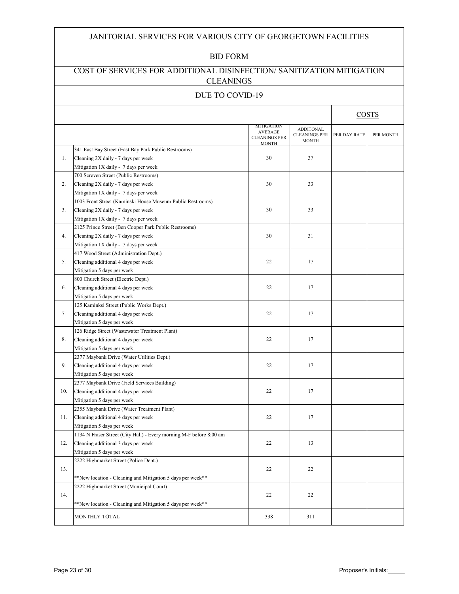#### JANITORIAL SERVICES FOR VARIOUS CITY OF GEORGETOWN FACILITIES

#### BID FORM

### COST OF SERVICES FOR ADDITIONAL DISINFECTION/ SANITIZATION MITIGATION CLEANINGS

#### DUE TO COVID-19

|     |                                                                                                                                            |                                                                      |                                                          |              | <b>COSTS</b> |
|-----|--------------------------------------------------------------------------------------------------------------------------------------------|----------------------------------------------------------------------|----------------------------------------------------------|--------------|--------------|
|     |                                                                                                                                            | MITIGATION<br><b>AVERAGE</b><br><b>CLEANINGS PER</b><br><b>MONTH</b> | <b>ADDITONAL</b><br><b>CLEANINGS PER</b><br><b>MONTH</b> | PER DAY RATE | PER MONTH    |
| 1.  | 341 East Bay Street (East Bay Park Public Restrooms)<br>Cleaning 2X daily - 7 days per week<br>Mitigation 1X daily - 7 days per week       | 30                                                                   | 37                                                       |              |              |
| 2.  | 700 Screven Street (Public Restrooms)<br>Cleaning 2X daily - 7 days per week<br>Mitigation 1X daily - 7 days per week                      | 30                                                                   | 33                                                       |              |              |
| 3.  | 1003 Front Street (Kaminski House Museum Public Restrooms)<br>Cleaning 2X daily - 7 days per week<br>Mitigation 1X daily - 7 days per week | 30                                                                   | 33                                                       |              |              |
| 4.  | 2125 Prince Street (Ben Cooper Park Public Restrooms)<br>Cleaning 2X daily - 7 days per week<br>Mitigation 1X daily - 7 days per week      | 30                                                                   | 31                                                       |              |              |
| 5.  | 417 Wood Street (Administration Dept.)<br>Cleaning additional 4 days per week<br>Mitigation 5 days per week                                | 22                                                                   | 17                                                       |              |              |
| 6.  | 800 Church Street (Electric Dept.)<br>Cleaning additional 4 days per week<br>Mitigation 5 days per week                                    | 22                                                                   | 17                                                       |              |              |
| 7.  | 125 Kaminksi Street (Public Works Dept.)<br>Cleaning additional 4 days per week<br>Mitigation 5 days per week                              | 22                                                                   | 17                                                       |              |              |
| 8.  | 126 Ridge Street (Wastewater Treatment Plant)<br>Cleaning additional 4 days per week<br>Mitigation 5 days per week                         | 22                                                                   | 17                                                       |              |              |
| 9.  | 2377 Maybank Drive (Water Utilities Dept.)<br>Cleaning additional 4 days per week<br>Mitigation 5 days per week                            | 22                                                                   | 17                                                       |              |              |
| 10. | 2377 Maybank Drive (Field Services Building)<br>Cleaning additional 4 days per week<br>Mitigation 5 days per week                          | 22                                                                   | 17                                                       |              |              |
| 11. | 2355 Maybank Drive (Water Treatment Plant)<br>Cleaning additional 4 days per week<br>Mitigation 5 days per week                            | 22                                                                   | 17                                                       |              |              |
| 12. | 1134 N Fraser Street (City Hall) - Every morning M-F before 8:00 am<br>Cleaning additional 3 days per week<br>Mitigation 5 days per week   | 22                                                                   | 13                                                       |              |              |
| 13. | 2222 Highmarket Street (Police Dept.)<br>**New location - Cleaning and Mitigation 5 days per week**                                        | 22                                                                   | 22                                                       |              |              |
| 14. | 2222 Highmarket Street (Municipal Court)<br>**New location - Cleaning and Mitigation 5 days per week**                                     | 22                                                                   | 22                                                       |              |              |
|     | MONTHLY TOTAL                                                                                                                              | 338                                                                  | 311                                                      |              |              |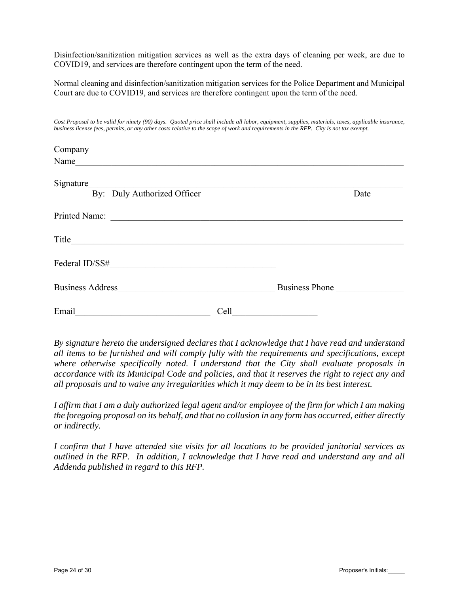Disinfection/sanitization mitigation services as well as the extra days of cleaning per week, are due to COVID19, and services are therefore contingent upon the term of the need.

Normal cleaning and disinfection/sanitization mitigation services for the Police Department and Municipal Court are due to COVID19, and services are therefore contingent upon the term of the need.

*Cost Proposal to be valid for ninety (90) days. Quoted price shall include all labor, equipment, supplies, materials, taxes, applicable insurance, business license fees, permits, or any other costs relative to the scope of work and requirements in the RFP. City is not tax exempt.*

| Company                                                                |      |                       |      |
|------------------------------------------------------------------------|------|-----------------------|------|
| Name                                                                   |      |                       |      |
| Signature<br><u> 1980 - Jan Barbara Barbara, manazarta </u>            |      |                       |      |
| By: Duly Authorized Officer                                            |      |                       | Date |
| Printed Name:<br><u> 1980 - Jan Samuel Barbara, martin di</u>          |      |                       |      |
| Title                                                                  |      |                       |      |
| Federal ID/SS#                                                         |      |                       |      |
| <b>Business Address</b><br><u> 1980 - Jan Amerikaans III (m. 1980)</u> |      | <b>Business Phone</b> |      |
| Email                                                                  | Cell |                       |      |

*By signature hereto the undersigned declares that I acknowledge that I have read and understand all items to be furnished and will comply fully with the requirements and specifications, except where otherwise specifically noted. I understand that the City shall evaluate proposals in accordance with its Municipal Code and policies, and that it reserves the right to reject any and all proposals and to waive any irregularities which it may deem to be in its best interest.* 

*I affirm that I am a duly authorized legal agent and/or employee of the firm for which I am making the foregoing proposal on its behalf, and that no collusion in any form has occurred, either directly or indirectly.* 

*I confirm that I have attended site visits for all locations to be provided janitorial services as outlined in the RFP. In addition, I acknowledge that I have read and understand any and all Addenda published in regard to this RFP.*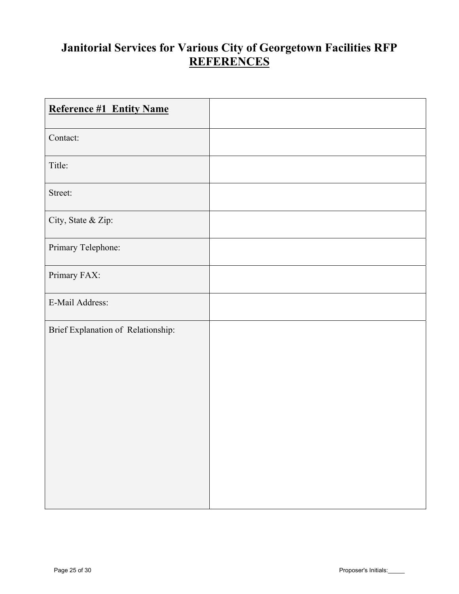## **Janitorial Services for Various City of Georgetown Facilities RFP REFERENCES**

| <b>Reference #1 Entity Name</b>    |  |
|------------------------------------|--|
| Contact:                           |  |
| Title:                             |  |
| Street:                            |  |
| City, State & Zip:                 |  |
| Primary Telephone:                 |  |
| Primary FAX:                       |  |
| E-Mail Address:                    |  |
| Brief Explanation of Relationship: |  |
|                                    |  |
|                                    |  |
|                                    |  |
|                                    |  |
|                                    |  |
|                                    |  |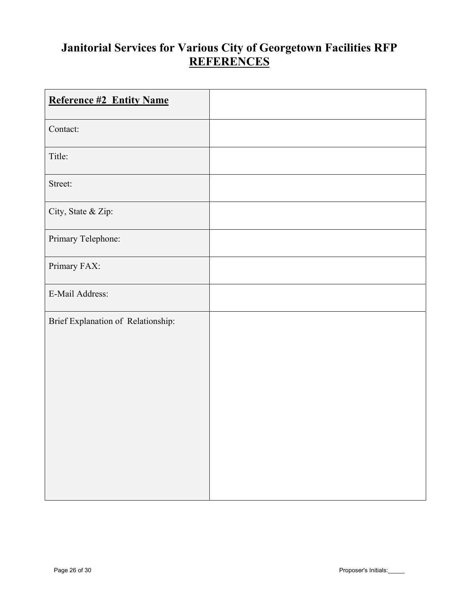## **Janitorial Services for Various City of Georgetown Facilities RFP REFERENCES**

| <b>Reference #2 Entity Name</b>    |  |
|------------------------------------|--|
| Contact:                           |  |
| Title:                             |  |
| Street:                            |  |
| City, State & Zip:                 |  |
| Primary Telephone:                 |  |
| Primary FAX:                       |  |
| E-Mail Address:                    |  |
| Brief Explanation of Relationship: |  |
|                                    |  |
|                                    |  |
|                                    |  |
|                                    |  |
|                                    |  |
|                                    |  |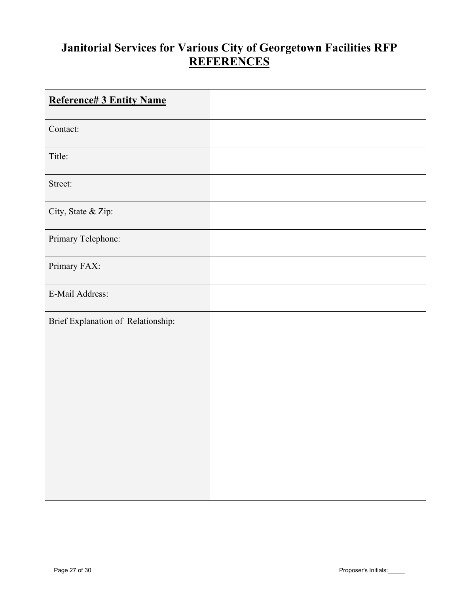## **Janitorial Services for Various City of Georgetown Facilities RFP REFERENCES**

| <b>Reference# 3 Entity Name</b>    |  |
|------------------------------------|--|
| Contact:                           |  |
| Title:                             |  |
| Street:                            |  |
| City, State & Zip:                 |  |
| Primary Telephone:                 |  |
| Primary FAX:                       |  |
| E-Mail Address:                    |  |
| Brief Explanation of Relationship: |  |
|                                    |  |
|                                    |  |
|                                    |  |
|                                    |  |
|                                    |  |
|                                    |  |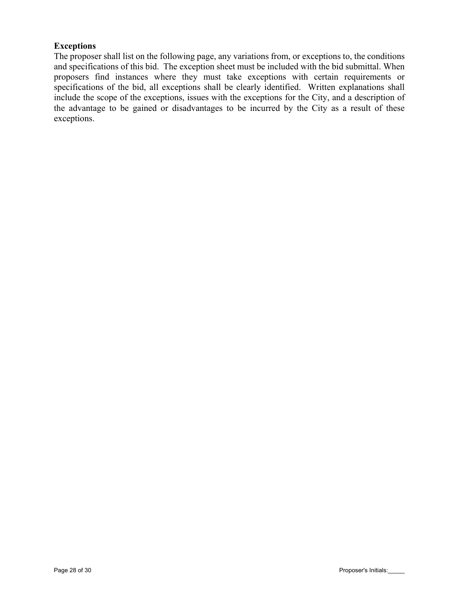## **Exceptions**

The proposer shall list on the following page, any variations from, or exceptions to, the conditions and specifications of this bid. The exception sheet must be included with the bid submittal. When proposers find instances where they must take exceptions with certain requirements or specifications of the bid, all exceptions shall be clearly identified. Written explanations shall include the scope of the exceptions, issues with the exceptions for the City, and a description of the advantage to be gained or disadvantages to be incurred by the City as a result of these exceptions.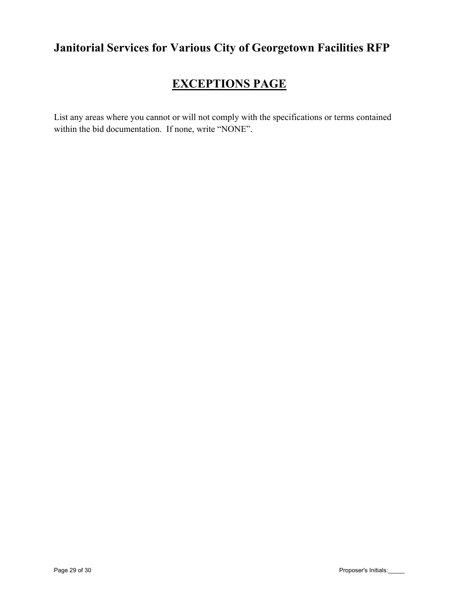## **Janitorial Services for Various City of Georgetown Facilities RFP**

# **EXCEPTIONS PAGE**

List any areas where you cannot or will not comply with the specifications or terms contained within the bid documentation. If none, write "NONE".